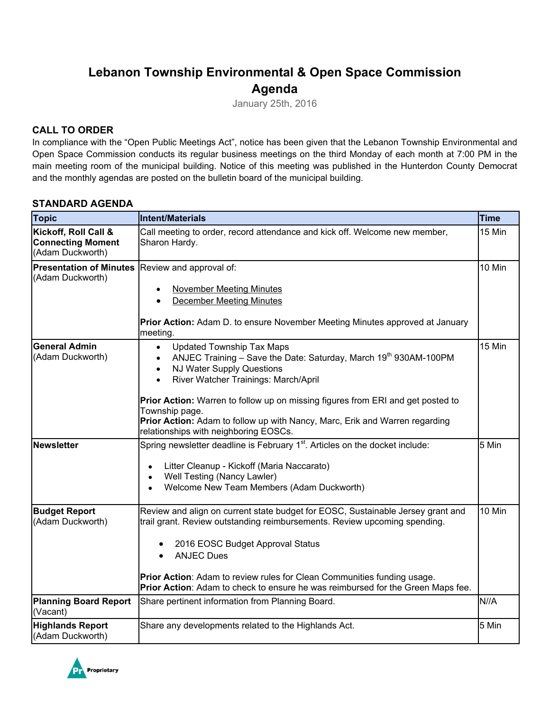# **Lebanon Township Environmental & Open Space Commission Agenda**

January 25th, 2016

#### **CALL TO ORDER**

In compliance with the "Open Public Meetings Act", notice has been given that the Lebanon Township Environmental and Open Space Commission conducts its regular business meetings on the third Monday of each month at 7:00 PM in the main meeting room of the municipal building. Notice of this meeting was published in the Hunterdon County Democrat and the monthly agendas are posted on the bulletin board of the municipal building.

#### **STANDARD AGENDA**

| <b>Topic</b>                                                         | <b>Time</b><br>Intent/Materials                                                                                                                                                                                                                                                                                                                                                                                                                         |       |
|----------------------------------------------------------------------|---------------------------------------------------------------------------------------------------------------------------------------------------------------------------------------------------------------------------------------------------------------------------------------------------------------------------------------------------------------------------------------------------------------------------------------------------------|-------|
| Kickoff, Roll Call &<br><b>Connecting Moment</b><br>(Adam Duckworth) | Call meeting to order, record attendance and kick off. Welcome new member,<br>Sharon Hardy.                                                                                                                                                                                                                                                                                                                                                             |       |
| Presentation of Minutes Review and approval of:<br>(Adam Duckworth)  | <b>November Meeting Minutes</b><br><b>December Meeting Minutes</b><br><b>Prior Action:</b> Adam D. to ensure November Meeting Minutes approved at January<br>meeting.                                                                                                                                                                                                                                                                                   |       |
| <b>General Admin</b><br>(Adam Duckworth)                             | 15 Min<br><b>Updated Township Tax Maps</b><br>$\bullet$<br>ANJEC Training - Save the Date: Saturday, March 19th 930AM-100PM<br>$\bullet$<br>NJ Water Supply Questions<br>$\bullet$<br>River Watcher Trainings: March/April<br>Prior Action: Warren to follow up on missing figures from ERI and get posted to<br>Township page.<br>Prior Action: Adam to follow up with Nancy, Marc, Erik and Warren regarding<br>relationships with neighboring EOSCs. |       |
| <b>Newsletter</b>                                                    | Spring newsletter deadline is February 1 <sup>st</sup> . Articles on the docket include:<br>Litter Cleanup - Kickoff (Maria Naccarato)<br>$\bullet$<br>Well Testing (Nancy Lawler)<br>$\bullet$<br>Welcome New Team Members (Adam Duckworth)<br>$\bullet$                                                                                                                                                                                               | 5 Min |
| <b>Budget Report</b><br>(Adam Duckworth)                             | Review and align on current state budget for EOSC, Sustainable Jersey grant and<br>10 Min<br>trail grant. Review outstanding reimbursements. Review upcoming spending.<br>2016 EOSC Budget Approval Status<br><b>ANJEC Dues</b><br>$\bullet$<br>Prior Action: Adam to review rules for Clean Communities funding usage.<br>Prior Action: Adam to check to ensure he was reimbursed for the Green Maps fee.                                              |       |
| <b>Planning Board Report</b><br>(Vacant)                             | Share pertinent information from Planning Board.                                                                                                                                                                                                                                                                                                                                                                                                        | N//A  |
| <b>Highlands Report</b><br>(Adam Duckworth)                          | Share any developments related to the Highlands Act.                                                                                                                                                                                                                                                                                                                                                                                                    | 5 Min |

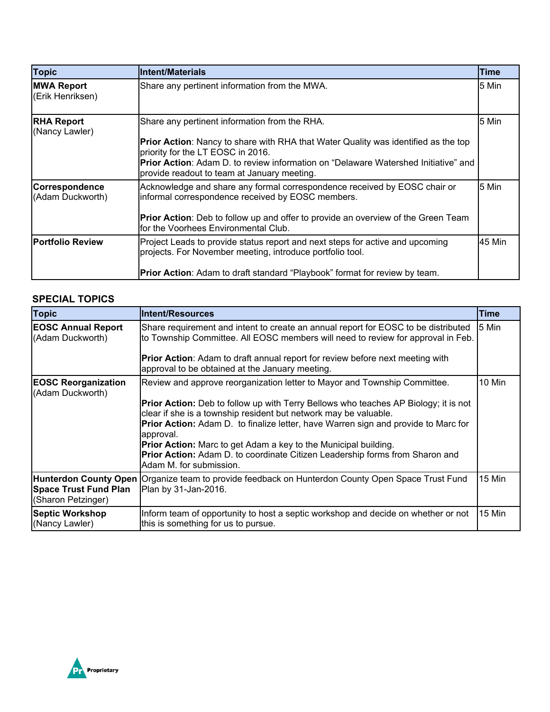| <b>Topic</b>                                                                                                                                                         | <b>Intent/Materials</b>                                                                                                                    | Time   |
|----------------------------------------------------------------------------------------------------------------------------------------------------------------------|--------------------------------------------------------------------------------------------------------------------------------------------|--------|
| <b>MWA Report</b><br>(Erik Henriksen)                                                                                                                                | Share any pertinent information from the MWA.<br>5 Min                                                                                     |        |
| <b>RHA Report</b><br>(Nancy Lawler)                                                                                                                                  | 5 Min<br>Share any pertinent information from the RHA.                                                                                     |        |
|                                                                                                                                                                      | Prior Action: Nancy to share with RHA that Water Quality was identified as the top<br>priority for the LT EOSC in 2016.                    |        |
|                                                                                                                                                                      | <b>Prior Action:</b> Adam D. to review information on "Delaware Watershed Initiative" and<br>provide readout to team at January meeting.   |        |
| Correspondence<br>Acknowledge and share any formal correspondence received by EOSC chair or<br>informal correspondence received by EOSC members.<br>(Adam Duckworth) |                                                                                                                                            | 5 Min  |
|                                                                                                                                                                      | <b>Prior Action:</b> Deb to follow up and offer to provide an overview of the Green Team<br>for the Voorhees Environmental Club.           |        |
| <b>Portfolio Review</b>                                                                                                                                              | Project Leads to provide status report and next steps for active and upcoming<br>projects. For November meeting, introduce portfolio tool. | 45 Min |
|                                                                                                                                                                      | Prior Action: Adam to draft standard "Playbook" format for review by team.                                                                 |        |

### **SPECIAL TOPICS**

| <b>Topic</b>                                       | Intent/Resources                                                                                                                                                                                                                                                                                                                                                                                                                                                                                                                           | <b>Time</b> |
|----------------------------------------------------|--------------------------------------------------------------------------------------------------------------------------------------------------------------------------------------------------------------------------------------------------------------------------------------------------------------------------------------------------------------------------------------------------------------------------------------------------------------------------------------------------------------------------------------------|-------------|
| <b>EOSC Annual Report</b><br>(Adam Duckworth)      | Share requirement and intent to create an annual report for EOSC to be distributed<br>to Township Committee. All EOSC members will need to review for approval in Feb.<br><b>Prior Action:</b> Adam to draft annual report for review before next meeting with<br>approval to be obtained at the January meeting.                                                                                                                                                                                                                          | 5 Min       |
| <b>EOSC Reorganization</b><br>(Adam Duckworth)     | Review and approve reorganization letter to Mayor and Township Committee.<br><b>Prior Action:</b> Deb to follow up with Terry Bellows who teaches AP Biology; it is not<br>clear if she is a township resident but network may be valuable.<br><b>Prior Action:</b> Adam D. to finalize letter, have Warren sign and provide to Marc for<br>approval.<br><b>Prior Action:</b> Marc to get Adam a key to the Municipal building.<br>Prior Action: Adam D. to coordinate Citizen Leadership forms from Sharon and<br>Adam M. for submission. | 10 Min      |
| <b>Space Trust Fund Plan</b><br>(Sharon Petzinger) | Hunterdon County Open Organize team to provide feedback on Hunterdon County Open Space Trust Fund<br>Plan by 31-Jan-2016.                                                                                                                                                                                                                                                                                                                                                                                                                  | 15 Min      |
| <b>Septic Workshop</b><br>(Nancy Lawler)           | Inform team of opportunity to host a septic workshop and decide on whether or not<br>this is something for us to pursue.                                                                                                                                                                                                                                                                                                                                                                                                                   | 15 Min      |

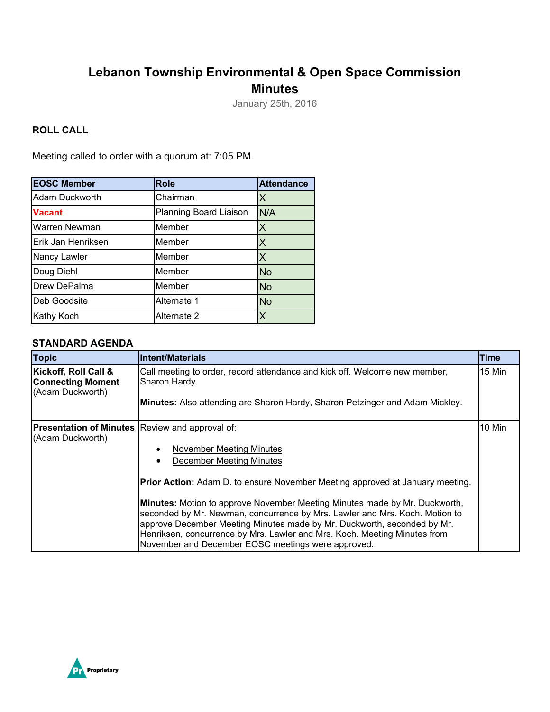# **Lebanon Township Environmental & Open Space Commission Minutes**

January 25th, 2016

#### **ROLL CALL**

Meeting called to order with a quorum at: 7:05 PM.

| <b>EOSC Member</b> | <b>Role</b>            | <b>Attendance</b> |
|--------------------|------------------------|-------------------|
| Adam Duckworth     | Chairman               | Х                 |
| <b>Vacant</b>      | Planning Board Liaison | N/A               |
| Warren Newman      | Member                 |                   |
| Erik Jan Henriksen | Member                 | x                 |
| Nancy Lawler       | Member                 | Х                 |
| Doug Diehl         | Member                 | <b>No</b>         |
| Drew DePalma       | Member                 | <b>No</b>         |
| Deb Goodsite       | Alternate 1            | <b>No</b>         |
| Kathy Koch         | Alternate 2            |                   |

#### **STANDARD AGENDA**

| <b>Topic</b>                                                                                                                                                        | lIntent/Materials                                                                                                                                                                                                                                                                                                                                                       | Time    |
|---------------------------------------------------------------------------------------------------------------------------------------------------------------------|-------------------------------------------------------------------------------------------------------------------------------------------------------------------------------------------------------------------------------------------------------------------------------------------------------------------------------------------------------------------------|---------|
| Kickoff, Roll Call &<br>Call meeting to order, record attendance and kick off. Welcome new member,<br><b>Connecting Moment</b><br>Sharon Hardy.<br>(Adam Duckworth) |                                                                                                                                                                                                                                                                                                                                                                         | l15 Min |
|                                                                                                                                                                     | <b>Minutes:</b> Also attending are Sharon Hardy, Sharon Petzinger and Adam Mickley.                                                                                                                                                                                                                                                                                     |         |
| (Adam Duckworth)                                                                                                                                                    | <b>Presentation of Minutes Review and approval of:</b>                                                                                                                                                                                                                                                                                                                  |         |
| November Meeting Minutes                                                                                                                                            |                                                                                                                                                                                                                                                                                                                                                                         |         |
|                                                                                                                                                                     | <b>December Meeting Minutes</b>                                                                                                                                                                                                                                                                                                                                         |         |
|                                                                                                                                                                     | Prior Action: Adam D. to ensure November Meeting approved at January meeting.                                                                                                                                                                                                                                                                                           |         |
|                                                                                                                                                                     | Minutes: Motion to approve November Meeting Minutes made by Mr. Duckworth,<br>seconded by Mr. Newman, concurrence by Mrs. Lawler and Mrs. Koch. Motion to<br>approve December Meeting Minutes made by Mr. Duckworth, seconded by Mr.<br>Henriksen, concurrence by Mrs. Lawler and Mrs. Koch. Meeting Minutes from<br>November and December EOSC meetings were approved. |         |

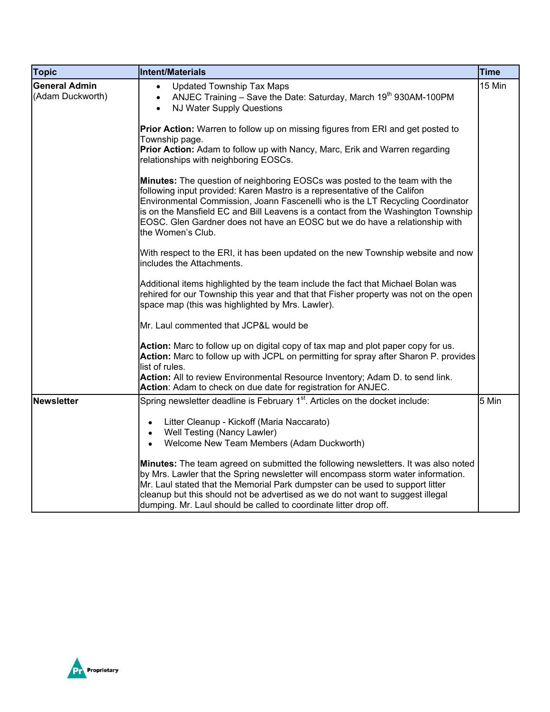| <b>Topic</b>                                                                                                                                                                                                                     | <b>Intent/Materials</b>                                                                                                                                                                                                                                                                                                                                                                                                                   | <b>Time</b> |
|----------------------------------------------------------------------------------------------------------------------------------------------------------------------------------------------------------------------------------|-------------------------------------------------------------------------------------------------------------------------------------------------------------------------------------------------------------------------------------------------------------------------------------------------------------------------------------------------------------------------------------------------------------------------------------------|-------------|
| <b>General Admin</b><br><b>Updated Township Tax Maps</b><br>$\bullet$<br>(Adam Duckworth)<br>ANJEC Training - Save the Date: Saturday, March 19 <sup>th</sup> 930AM-100PM<br>$\bullet$<br>NJ Water Supply Questions<br>$\bullet$ |                                                                                                                                                                                                                                                                                                                                                                                                                                           | 15 Min      |
|                                                                                                                                                                                                                                  | Prior Action: Warren to follow up on missing figures from ERI and get posted to<br>Township page.                                                                                                                                                                                                                                                                                                                                         |             |
|                                                                                                                                                                                                                                  | Prior Action: Adam to follow up with Nancy, Marc, Erik and Warren regarding<br>relationships with neighboring EOSCs.                                                                                                                                                                                                                                                                                                                      |             |
|                                                                                                                                                                                                                                  | <b>Minutes:</b> The question of neighboring EOSCs was posted to the team with the<br>following input provided: Karen Mastro is a representative of the Califon<br>Environmental Commission, Joann Fascenelli who is the LT Recycling Coordinator<br>is on the Mansfield EC and Bill Leavens is a contact from the Washington Township<br>EOSC. Glen Gardner does not have an EOSC but we do have a relationship with<br>the Women's Club. |             |
|                                                                                                                                                                                                                                  | With respect to the ERI, it has been updated on the new Township website and now<br>includes the Attachments.                                                                                                                                                                                                                                                                                                                             |             |
|                                                                                                                                                                                                                                  | Additional items highlighted by the team include the fact that Michael Bolan was<br>rehired for our Township this year and that that Fisher property was not on the open<br>space map (this was highlighted by Mrs. Lawler).                                                                                                                                                                                                              |             |
|                                                                                                                                                                                                                                  | Mr. Laul commented that JCP&L would be                                                                                                                                                                                                                                                                                                                                                                                                    |             |
|                                                                                                                                                                                                                                  | Action: Marc to follow up on digital copy of tax map and plot paper copy for us.<br>Action: Marc to follow up with JCPL on permitting for spray after Sharon P. provides<br>list of rules.                                                                                                                                                                                                                                                |             |
|                                                                                                                                                                                                                                  | Action: All to review Environmental Resource Inventory; Adam D. to send link.<br>Action: Adam to check on due date for registration for ANJEC.                                                                                                                                                                                                                                                                                            |             |
| <b>Newsletter</b>                                                                                                                                                                                                                | Spring newsletter deadline is February 1 <sup>st</sup> . Articles on the docket include:                                                                                                                                                                                                                                                                                                                                                  | 5 Min       |
|                                                                                                                                                                                                                                  | Litter Cleanup - Kickoff (Maria Naccarato)<br>$\bullet$<br>Well Testing (Nancy Lawler)<br>$\bullet$<br>Welcome New Team Members (Adam Duckworth)<br>$\bullet$                                                                                                                                                                                                                                                                             |             |
|                                                                                                                                                                                                                                  | Minutes: The team agreed on submitted the following newsletters. It was also noted<br>by Mrs. Lawler that the Spring newsletter will encompass storm water information.<br>Mr. Laul stated that the Memorial Park dumpster can be used to support litter<br>cleanup but this should not be advertised as we do not want to suggest illegal<br>dumping. Mr. Laul should be called to coordinate litter drop off.                           |             |

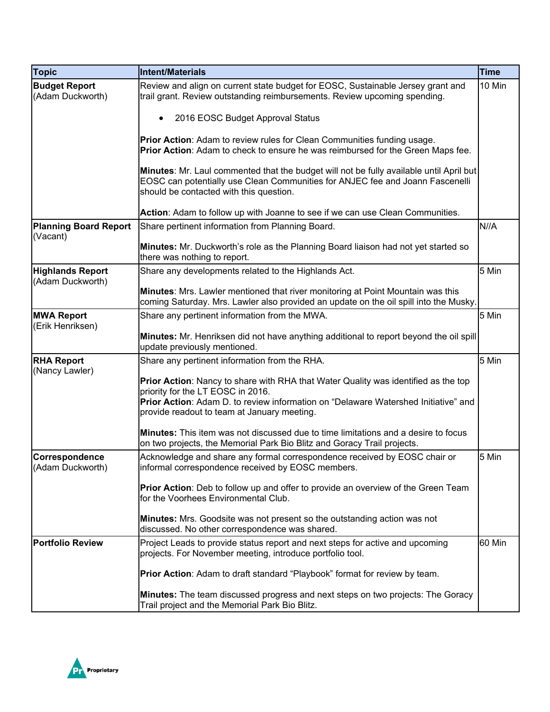| <b>Topic</b>                                                                           | Intent/Materials                                                                                                                                                                                                    | <b>Time</b> |
|----------------------------------------------------------------------------------------|---------------------------------------------------------------------------------------------------------------------------------------------------------------------------------------------------------------------|-------------|
| <b>Budget Report</b><br>(Adam Duckworth)                                               | Review and align on current state budget for EOSC, Sustainable Jersey grant and<br>trail grant. Review outstanding reimbursements. Review upcoming spending.                                                        | 10 Min      |
|                                                                                        | 2016 EOSC Budget Approval Status                                                                                                                                                                                    |             |
|                                                                                        | Prior Action: Adam to review rules for Clean Communities funding usage.<br>Prior Action: Adam to check to ensure he was reimbursed for the Green Maps fee.                                                          |             |
|                                                                                        | Minutes: Mr. Laul commented that the budget will not be fully available until April but<br>EOSC can potentially use Clean Communities for ANJEC fee and Joann Fascenelli<br>should be contacted with this question. |             |
|                                                                                        | Action: Adam to follow up with Joanne to see if we can use Clean Communities.                                                                                                                                       |             |
| <b>Planning Board Report</b><br>(Vacant)                                               | Share pertinent information from Planning Board.                                                                                                                                                                    | N//A        |
|                                                                                        | Minutes: Mr. Duckworth's role as the Planning Board liaison had not yet started so<br>there was nothing to report.                                                                                                  |             |
| <b>Highlands Report</b><br>(Adam Duckworth)                                            | Share any developments related to the Highlands Act.                                                                                                                                                                | 5 Min       |
|                                                                                        | <b>Minutes:</b> Mrs. Lawler mentioned that river monitoring at Point Mountain was this<br>coming Saturday. Mrs. Lawler also provided an update on the oil spill into the Musky.                                     |             |
| <b>MWA Report</b><br>Share any pertinent information from the MWA.<br>(Erik Henriksen) |                                                                                                                                                                                                                     | 5 Min       |
|                                                                                        | Minutes: Mr. Henriksen did not have anything additional to report beyond the oil spill<br>update previously mentioned.                                                                                              |             |
| <b>RHA Report</b><br>(Nancy Lawler)                                                    | Share any pertinent information from the RHA.                                                                                                                                                                       | 5 Min       |
|                                                                                        | Prior Action: Nancy to share with RHA that Water Quality was identified as the top<br>priority for the LT EOSC in 2016.                                                                                             |             |
|                                                                                        | Prior Action: Adam D. to review information on "Delaware Watershed Initiative" and<br>provide readout to team at January meeting.                                                                                   |             |
|                                                                                        | <b>Minutes:</b> This item was not discussed due to time limitations and a desire to focus<br>on two projects, the Memorial Park Bio Blitz and Goracy Trail projects.                                                |             |
| Correspondence<br>(Adam Duckworth)                                                     | Acknowledge and share any formal correspondence received by EOSC chair or<br>informal correspondence received by EOSC members.                                                                                      | 5 Min       |
|                                                                                        | <b>Prior Action:</b> Deb to follow up and offer to provide an overview of the Green Team<br>for the Voorhees Environmental Club.                                                                                    |             |
|                                                                                        | Minutes: Mrs. Goodsite was not present so the outstanding action was not<br>discussed. No other correspondence was shared.                                                                                          |             |
| <b>Portfolio Review</b>                                                                | Project Leads to provide status report and next steps for active and upcoming<br>projects. For November meeting, introduce portfolio tool.                                                                          | 60 Min      |
|                                                                                        | Prior Action: Adam to draft standard "Playbook" format for review by team.                                                                                                                                          |             |
|                                                                                        | Minutes: The team discussed progress and next steps on two projects: The Goracy<br>Trail project and the Memorial Park Bio Blitz.                                                                                   |             |

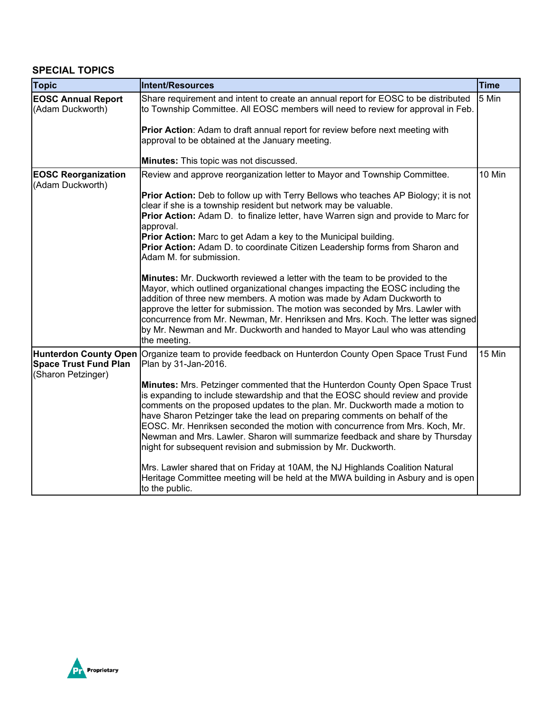### **SPECIAL TOPICS**

| <b>Topic</b>                                                                | Intent/Resources                                                                                                                                                                                                                                                                                                                                                                                                                                                                                                                                                | Time   |
|-----------------------------------------------------------------------------|-----------------------------------------------------------------------------------------------------------------------------------------------------------------------------------------------------------------------------------------------------------------------------------------------------------------------------------------------------------------------------------------------------------------------------------------------------------------------------------------------------------------------------------------------------------------|--------|
| <b>EOSC Annual Report</b><br>(Adam Duckworth)                               | Share requirement and intent to create an annual report for EOSC to be distributed<br>to Township Committee. All EOSC members will need to review for approval in Feb.                                                                                                                                                                                                                                                                                                                                                                                          | 5 Min  |
|                                                                             | Prior Action: Adam to draft annual report for review before next meeting with<br>approval to be obtained at the January meeting.                                                                                                                                                                                                                                                                                                                                                                                                                                |        |
|                                                                             | Minutes: This topic was not discussed.                                                                                                                                                                                                                                                                                                                                                                                                                                                                                                                          |        |
| <b>EOSC Reorganization</b><br>(Adam Duckworth)                              | Review and approve reorganization letter to Mayor and Township Committee.                                                                                                                                                                                                                                                                                                                                                                                                                                                                                       | 10 Min |
|                                                                             | <b>Prior Action:</b> Deb to follow up with Terry Bellows who teaches AP Biology; it is not<br>clear if she is a township resident but network may be valuable.<br>Prior Action: Adam D. to finalize letter, have Warren sign and provide to Marc for<br>approval.<br>Prior Action: Marc to get Adam a key to the Municipal building.<br>Prior Action: Adam D. to coordinate Citizen Leadership forms from Sharon and<br>Adam M. for submission.                                                                                                                 |        |
|                                                                             | Minutes: Mr. Duckworth reviewed a letter with the team to be provided to the<br>Mayor, which outlined organizational changes impacting the EOSC including the<br>addition of three new members. A motion was made by Adam Duckworth to<br>approve the letter for submission. The motion was seconded by Mrs. Lawler with<br>concurrence from Mr. Newman, Mr. Henriksen and Mrs. Koch. The letter was signed<br>by Mr. Newman and Mr. Duckworth and handed to Mayor Laul who was attending<br>the meeting.                                                       |        |
| Hunterdon County Open<br><b>Space Trust Fund Plan</b><br>(Sharon Petzinger) | Organize team to provide feedback on Hunterdon County Open Space Trust Fund<br>Plan by 31-Jan-2016.                                                                                                                                                                                                                                                                                                                                                                                                                                                             | 15 Min |
|                                                                             | Minutes: Mrs. Petzinger commented that the Hunterdon County Open Space Trust<br>is expanding to include stewardship and that the EOSC should review and provide<br>comments on the proposed updates to the plan. Mr. Duckworth made a motion to<br>have Sharon Petzinger take the lead on preparing comments on behalf of the<br>EOSC. Mr. Henriksen seconded the motion with concurrence from Mrs. Koch, Mr.<br>Newman and Mrs. Lawler. Sharon will summarize feedback and share by Thursday<br>night for subsequent revision and submission by Mr. Duckworth. |        |
|                                                                             | Mrs. Lawler shared that on Friday at 10AM, the NJ Highlands Coalition Natural<br>Heritage Committee meeting will be held at the MWA building in Asbury and is open<br>to the public.                                                                                                                                                                                                                                                                                                                                                                            |        |

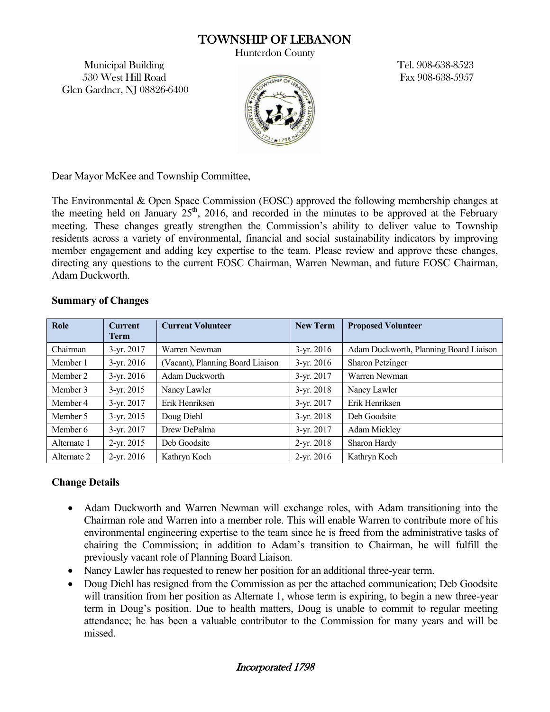## TOWNSHIP OF LEBANON

Hunterdon County

Municipal Building Tel. 908-638-8523 530 West Hill Road Fax 908-638-5957 Glen Gardner, NJ 08826-6400



Dear Mayor McKee and Township Committee,

The Environmental & Open Space Commission (EOSC) approved the following membership changes at the meeting held on January  $25<sup>th</sup>$ , 2016, and recorded in the minutes to be approved at the February meeting. These changes greatly strengthen the Commission's ability to deliver value to Township residents across a variety of environmental, financial and social sustainability indicators by improving member engagement and adding key expertise to the team. Please review and approve these changes, directing any questions to the current EOSC Chairman, Warren Newman, and future EOSC Chairman, Adam Duckworth.

#### **Summary of Changes**

| Role        | <b>Current</b><br><b>Term</b> | <b>Current Volunteer</b>         | <b>New Term</b> | <b>Proposed Volunteer</b>              |
|-------------|-------------------------------|----------------------------------|-----------------|----------------------------------------|
| Chairman    | $3$ -yr. 2017                 | Warren Newman                    | $3-yr. 2016$    | Adam Duckworth, Planning Board Liaison |
| Member 1    | $3-yr. 2016$                  | (Vacant), Planning Board Liaison | $3-yr. 2016$    | <b>Sharon Petzinger</b>                |
| Member 2    | $3-yr. 2016$                  | Adam Duckworth                   | $3-yr. 2017$    | Warren Newman                          |
| Member 3    | $3-yr. 2015$                  | Nancy Lawler                     | $3-yr. 2018$    | Nancy Lawler                           |
| Member 4    | $3-yr. 2017$                  | Erik Henriksen                   | $3-yr. 2017$    | Erik Henriksen                         |
| Member 5    | $3-yr. 2015$                  | Doug Diehl                       | $3-yr. 2018$    | Deb Goodsite                           |
| Member 6    | $3-yr. 2017$                  | Drew DePalma                     | $3-yr. 2017$    | <b>Adam Mickley</b>                    |
| Alternate 1 | $2-yr. 2015$                  | Deb Goodsite                     | $2-yr. 2018$    | Sharon Hardy                           |
| Alternate 2 | $2-yr. 2016$                  | Kathryn Koch                     | $2-yr. 2016$    | Kathryn Koch                           |

#### **Change Details**

- Adam Duckworth and Warren Newman will exchange roles, with Adam transitioning into the Chairman role and Warren into a member role. This will enable Warren to contribute more of his environmental engineering expertise to the team since he is freed from the administrative tasks of chairing the Commission; in addition to Adam's transition to Chairman, he will fulfill the previously vacant role of Planning Board Liaison.
- Nancy Lawler has requested to renew her position for an additional three-year term.
- Doug Diehl has resigned from the Commission as per the attached communication; Deb Goodsite will transition from her position as Alternate 1, whose term is expiring, to begin a new three-year term in Doug's position. Due to health matters, Doug is unable to commit to regular meeting attendance; he has been a valuable contributor to the Commission for many years and will be missed.

Incorporated 1798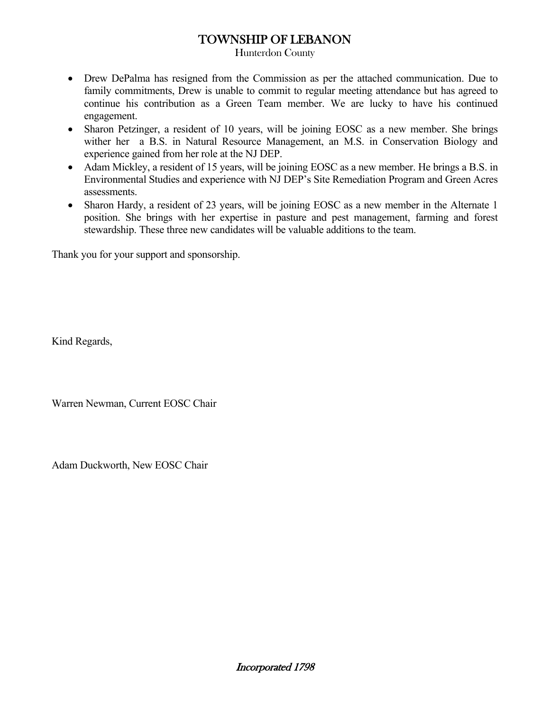### TOWNSHIP OF LEBANON

Hunterdon County

- Drew DePalma has resigned from the Commission as per the attached communication. Due to family commitments, Drew is unable to commit to regular meeting attendance but has agreed to continue his contribution as a Green Team member. We are lucky to have his continued engagement.
- Sharon Petzinger, a resident of 10 years, will be joining EOSC as a new member. She brings wither her a B.S. in Natural Resource Management, an M.S. in Conservation Biology and experience gained from her role at the NJ DEP.
- Adam Mickley, a resident of 15 years, will be joining EOSC as a new member. He brings a B.S. in Environmental Studies and experience with NJ DEP's Site Remediation Program and Green Acres assessments.
- Sharon Hardy, a resident of 23 years, will be joining EOSC as a new member in the Alternate 1 position. She brings with her expertise in pasture and pest management, farming and forest stewardship. These three new candidates will be valuable additions to the team.

Thank you for your support and sponsorship.

Kind Regards,

Warren Newman, Current EOSC Chair

Adam Duckworth, New EOSC Chair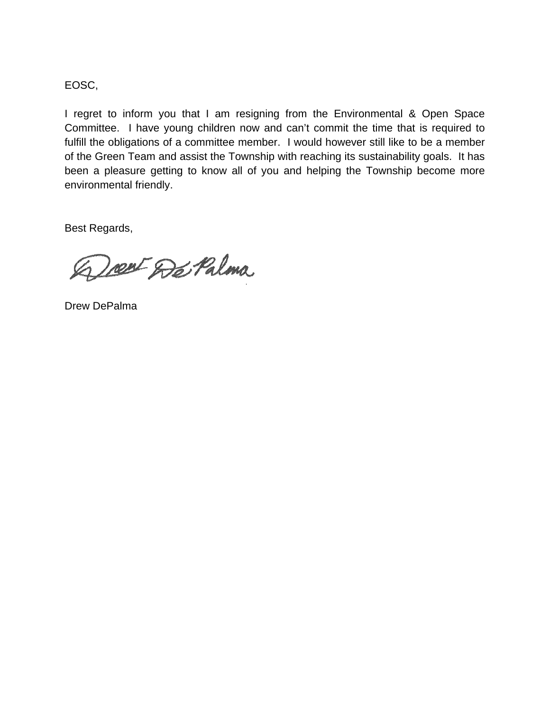EOSC,

I regret to inform you that I am resigning from the Environmental & Open Space Committee. I have young children now and can't commit the time that is required to fulfill the obligations of a committee member. I would however still like to be a member of the Green Team and assist the Township with reaching its sustainability goals. It has been a pleasure getting to know all of you and helping the Township become more environmental friendly.

Best Regards,

Doest De Palma

Drew DePalma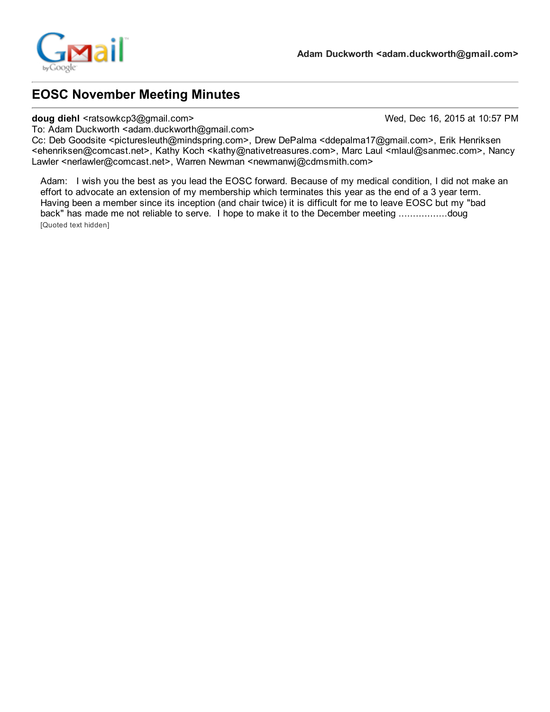

## EOSC November Meeting Minutes

#### doug diehl <ratsowkcp3@gmail.com> Wed, Dec 16, 2015 at 10:57 PM

To: Adam Duckworth <adam.duckworth@gmail.com>

Cc: Deb Goodsite <picturesleuth@mindspring.com>, Drew DePalma <ddepalma17@gmail.com>, Erik Henriksen <ehenriksen@comcast.net>, Kathy Koch <kathy@nativetreasures.com>, Marc Laul <mlaul@sanmec.com>, Nancy Lawler <nerlawler@comcast.net>, Warren Newman <newmanwj@cdmsmith.com>

Adam: I wish you the best as you lead the EOSC forward. Because of my medical condition, I did not make an effort to advocate an extension of my membership which terminates this year as the end of a 3 year term. Having been a member since its inception (and chair twice) it is difficult for me to leave EOSC but my "bad back" has made me not reliable to serve. I hope to make it to the December meeting .................doug [Quoted text hidden]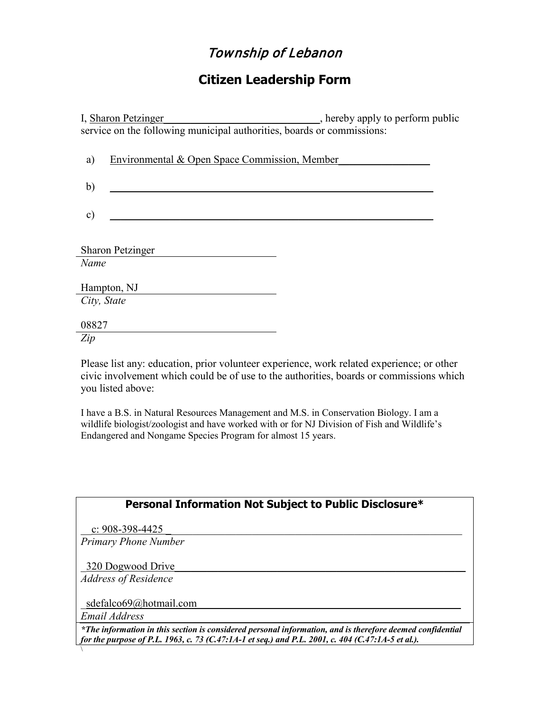# Township of Lebanon

## **Citizen Leadership Form**

I, Sharon Petzinger\_\_\_\_\_\_\_\_\_\_\_\_\_\_\_\_\_\_\_\_\_\_\_\_\_\_\_, hereby apply to perform public service on the following municipal authorities, boards or commissions:

| a)            | Environmental & Open Space Commission, Member |  |
|---------------|-----------------------------------------------|--|
|               |                                               |  |
| b)            |                                               |  |
|               |                                               |  |
| $\mathbf{c})$ |                                               |  |
|               |                                               |  |
|               |                                               |  |
|               | <b>Sharon Petzinger</b>                       |  |
| Name          |                                               |  |
|               |                                               |  |
|               | Hampton, NJ                                   |  |
| City, State   |                                               |  |
|               |                                               |  |
| 08827         |                                               |  |
| Zip           |                                               |  |

Please list any: education, prior volunteer experience, work related experience; or other civic involvement which could be of use to the authorities, boards or commissions which you listed above:

I have a B.S. in Natural Resources Management and M.S. in Conservation Biology. I am a wildlife biologist/zoologist and have worked with or for NJ Division of Fish and Wildlife's Endangered and Nongame Species Program for almost 15 years.

|                             | Personal Information Not Subject to Public Disclosure* |
|-----------------------------|--------------------------------------------------------|
| c: $908-398-4425$           |                                                        |
| <b>Primary Phone Number</b> |                                                        |
| 320 Dogwood Drive           |                                                        |
| <b>Address of Residence</b> |                                                        |
| sdefalco69@hotmail.com      |                                                        |
| Email Address               |                                                        |

 $\setminus$